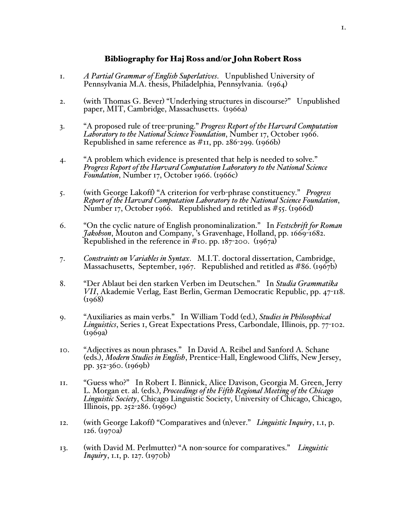## Bibliography for Haj Ross and/or John Robert Ross

- 1. *A Partial Grammar of English Superlatives*. Unpublished University of Pennsylvania M.A. thesis, Philadelphia, Pennsylvania. (1964)
- 2. (with Thomas G. Bever) "Underlying structures in discourse?" Unpublished paper, MIT, Cambridge, Massachusetts. (1966a)
- 3. "A proposed rule of tree-pruning." *Progress Report of the Harvard Computation Laboratory to the National Science Foundation*, Number 17, October 1966. Republished in same reference as  $\#$ 11, pp. 286-299. (1966b)
- 4. "A problem which evidence is presented that help is needed to solve." *Progress Report of the Harvard Computation Laboratory to the National Science Foundation*, Number 17, October 1966. (1966c)
- 5. (with George Lakoff) "A criterion for verb-phrase constituency." *Progress Report of the Harvard Computation Laboratory to the National Science Foundation*, Number 17, October 1966. Republished and retitled as  $\#$ 55. (1966d)
- 6. "On the cyclic nature of English pronominalization." In *Festschrift for Roman Jakobson*, Mouton and Company, 's Gravenhage, Holland, pp. 1669-1682. Republished in the reference in  $\#$ 10. pp. 187-200. (1967a)
- 7. *Constraints on Variables in Syntax*. M.I.T. doctoral dissertation, Cambridge, Massachusetts, September, 1967. Republished and retitled as #86. (1967b)
- 8. "Der Ablaut bei den starken Verben im Deutschen." In *Studia Grammatika VII*, Akademie Verlag, East Berlin, German Democratic Republic, pp. 47-118.  $(1968)$
- 9. "Auxiliaries as main verbs." In William Todd (ed.), *Studies in Philosophical Linguistics*, Series 1, Great Expectations Press, Carbondale, Illinois, pp. 77-102.  $(1969a)$
- 10. "Adjectives as noun phrases." In David A. Reibel and Sanford A. Schane (eds.), *Modern Studies in English*, Prentice-Hall, Englewood Cliffs, New Jersey, pp. 352-360. (1969b)
- 11. "Guess who?" In Robert I. Binnick, Alice Davison, Georgia M. Green, Jerry L. Morgan et. al. (eds.), *Proceedings of the Fifth Regional Meeting of the Chicago Linguistic Society*, Chicago Linguistic Society, University of Chicago, Chicago, Illinois, pp. 252-286. (1969c)
- 12. (with George Lakoff) "Comparatives and (n)ever." *Linguistic Inquiry*, 1.1, p. 126. (1970a)
- 13. (with David M. Perlmutter) "A non-source for comparatives." *Linguistic Inquiry*, 1.1, p. 127. (1970b)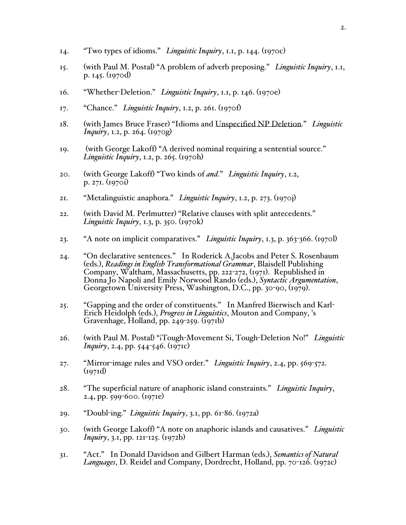- 14. "Two types of idioms." *Linguistic Inquiry*, 1.1, p. 144. (1970c)
- 15. (with Paul M. Postal) "A problem of adverb preposing." *Linguistic Inquiry*, 1.1, p. 145. (1970d)
- 16. "Whether-Deletion." *Linguistic Inquiry*, 1.1, p. 146. (1970e)
- 17. "Chance." *Linguistic Inquiry*, 1.2, p. 261. (1970f)
- 18. (with James Bruce Fraser) "Idioms and Unspecified NP Deletion." *Linguistic Inquiry*, 1.2, p. 264. (1970g)
- 19. (with George Lakoff) "A derived nominal requiring a sentential source." *Linguistic Inquiry*, 1.2, p. 265. (1970h)
- 20. (with George Lakoff) "Two kinds of *and*." *Linguistic Inquiry*, 1.2, p. 271. (1970i)
- 21. "Metalinguistic anaphora." *Linguistic Inquiry*, 1.2, p. 273. (1970j)
- 22. (with David M. Perlmutter) "Relative clauses with split antecedents." *Linguistic Inquiry*, 1.3, p. 350. (1970k)
- 23. "A note on implicit comparatives." *Linguistic Inquiry*, 1.3, p. 363-366. (1970l)
- 24. "On declarative sentences." In Roderick A.Jacobs and Peter S. Rosenbaum (eds.), *Readings in English Transformational Grammar*, Blaisdell Publishing Company, Waltham, Massachusetts, pp. 222-272, (1971). Republished in Donna Jo Napoli and Emily Norwood Rando (eds.), *Syntactic Argumentation*, Georgetown University Press, Washington, D.C., pp. 30-90, (1979).
- 25. "Gapping and the order of constituents." In Manfred Bierwisch and Karl- Erich Heidolph (eds.), *Progress in Linguistics*, Mouton and Company, '<sup>s</sup> Gravenhage, Holland, pp.  $249-259$ . ( $1971b$ )
- 26. (with Paul M. Postal) "¡Tough-Movement Si, Tough-Deletion No!" *Linguistic Inquiry*, 2.4, pp. 544-546. (1971c)
- 27. "Mirror-image rules and VSO order." *Linguistic Inquiry*, 2.4, pp. 569-572.  $(pq71d)$
- 28. "The superficial nature of anaphoric island constraints." *Linguistic Inquiry*, 2.4, pp. 599-600. (1971e)
- 29. "Doubl-ing." *Linguistic Inquiry*, 3.1, pp. 61-86. (1972a)
- 30. (with George Lakoff) "A note on anaphoric islands and causatives." *Linguistic Inquiry*, 3.1, pp. 121-125. (1972b)
- 31. "Act." In Donald Davidson and Gilbert Harman (eds.), *Semantics of Natural Languages*, D. Reidel and Company, Dordrecht, Holland, pp. 70-126. (1972c)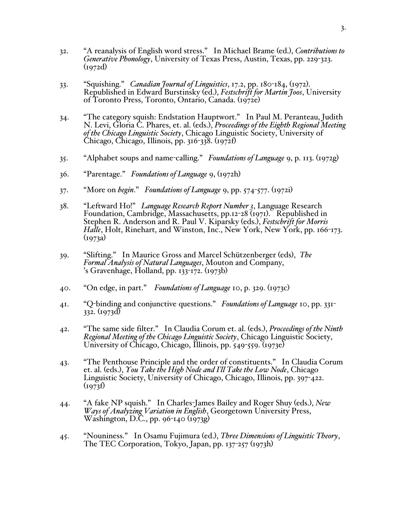- 32. "A reanalysis of English word stress." In Michael Brame (ed.), *Contributions to Generative Phonology*, University of Texas Press, Austin, Texas, pp. 229-323.  $(1972d)$
- 33. "Squishing." *Canadian Journal of Linguistics*, 17.2, pp. 180-184, (1972). Republished in Edward Burstinsky (ed.), *Festschrift for Martin Joos*, University of Toronto Press, Toronto, Ontario, Canada. (1972e)
- 34. "The category squish: Endstation Hauptwort." In Paul M. Peranteau, Judith N. Levi, Gloria C. Phares, et. al. (eds.), *Proceedings of the Eighth Regional Meeting of the Chicago Linguistic Society*, Chicago Linguistic Society, University of  $\text{Chicago}, \text{Chicago}, \text{Illinois}, \text{pp}. \text{316-338}. \text{ (1972f)}$
- 35. "Alphabet soups and name-calling." *Foundations of Language* 9, p. 113. (1972g)
- 36. "Parentage." *Foundations of Language* 9, (1972h)
- 37. "More on *begin*." *Foundations of Language* 9, pp. 574-577. (1972i)
- 38. "Leftward Ho!" *Language Research Report Number 3*, Language Research Foundation, Cambridge, Massachusetts, pp.12-28 (1971). Republished in Stephen R. Anderson and R. Paul V. Kiparsky (eds.), *Festschrift for Morris Halle*, Holt, Rinehart, and Winston, Inc., New York, New York, pp. 166-173.  $(1973a)$
- 39. "Slifting." In Maurice Gross and Marcel Schützenberger (eds), *The Formal Analysis of Natural Languages*, Mouton and Company, 's Gravenhage, Holland, pp. 133-172. (1973b)
- 40. "On edge, in part." *Foundations of Language* 10, p. 329. (1973c)
- 41. "Q-binding and conjunctive questions." *Foundations of Language* 10, pp. 331- 332. (1973d)
- 42. "The same side filter." In Claudia Corum et. al. (eds.), *Proceedings of the Ninth*<br>Regional Meeting of the Chicago Linguistic Society, Chicago Linguistic Society,<br>University of Chicago, Chicago, Illinois, pp. 549-559.
- 43. "The Penthouse Principle and the order of constituents." In Claudia Corum et. al. (eds.), *You Take the High Node and I'll Take the Low Node*, Chicago Linguistic Society, University of Chicago, Chicago, Illinois, pp. 397-422.  $(1973f)$
- 44. "A fake NP squish." In Charles-James Bailey and Roger Shuy (eds.), *New Ways of Analyzing Variation in English*, Georgetown University Press, Washington, D.C., pp. 96-140 (1973g)
- 45. "Nouniness." In Osamu Fujimura (ed.), *Three Dimensions of Linguistic Theory*, The TEC Corporation, Tokyo, Japan, pp. 137-257 (1973h)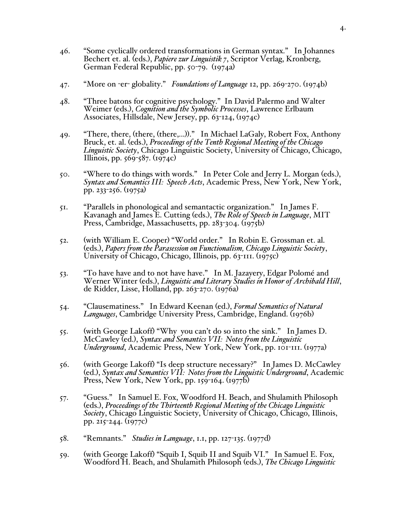- 46. "Some cyclically ordered transformations in German syntax." In Johannes Bechert et. al. (eds.), *Papiere zur Linguistik 7*, Scriptor Verlag, Kronberg, German Federal Republic, pp. 50-79. (1974a)
- 47. "More on -er- globality." *Foundations of Language* 12, pp. 269-270. (1974b)
- 48. "Three batons for cognitive psychology." In David Palermo and Walter Weimer (eds.), *Cognition and the Symbolic Processes*, Lawrence Erlbaum Associates, Hillsdale, New Jersey, pp. 63-124, (1974c)
- 49. "There, there, (there, (there,...))." In Michael LaGaly, Robert Fox, Anthony Bruck, et. al. (eds.), *Proceedings of the Tenth Regional Meeting of the Chicago Linguistic Society*, Chicago Linguistic Society, University of Chicago, Chicago, Illinois, pp. 569-587. (1974c)
- 50. "Where to do things with words." In Peter Cole and Jerry L. Morgan (eds.), *Syntax and Semantics III: Speech Acts*, Academic Press, New York, New York, pp. 233-256. (1975a)
- 51. "Parallels in phonological and semantactic organization." In James F. Kavanagh and James E. Cutting (eds.), *The Role of Speech in Language*, MIT Press, Cambridge, Massachusetts, pp. 283-304. (1975b)
- 52. (with William E. Cooper) "World order." In Robin E. Grossman et. al. (eds.), *Papers from the Parasession on Functionalism, Chicago Linguistic Society*, University of Chicago, Chicago, Illinois, pp. 63-111. (1975c)
- 53. "To have have and to not have have." In M. Jazayery, Edgar Polomé and Werner Winter (eds.), *Linguistic and Literary Studies in Honor of Archibald Hill*, de Ridder, Lisse, Holland, pp. 263-270. (1976a)
- 54. "Clausematiness." In Edward Keenan (ed.), *Formal Semantics of Natural Languages*, Cambridge University Press, Cambridge, England. (1976b)
- 55. (with George Lakoff) "Why you can't do so into the sink." In James D. McCawley (ed.), *Syntax and Semantics VII: Notes from the Linguistic Underground*, Academic Press, New York, New York, pp. 101-111. (1977a)
- 56. (with George Lakoff) "Is deep structure necessary?" In James D. McCawley (ed.), *Syntax and Semantics VII: Notes from the Linguistic Underground*, Academic Press, New York, New York, pp. 159-164. (1977b)
- 57. "Guess." In Samuel E. Fox, Woodford H. Beach, and Shulamith Philosoph (eds.), *Proceedings of the Thirteenth Regional Meeting of the Chicago Linguistic Society*, Chicago Linguistic Society, University of Chicago, Chicago, Illinois, pp. 215-244. (1977c)
- 58. "Remnants." *Studies in Language*, 1.1, pp. 127-135. (1977d)
- 59. (with George Lakoff) "Squib I, Squib II and Squib VI." In Samuel E. Fox, Woodford H. Beach, and Shulamith Philosoph (eds.), *The Chicago Linguistic*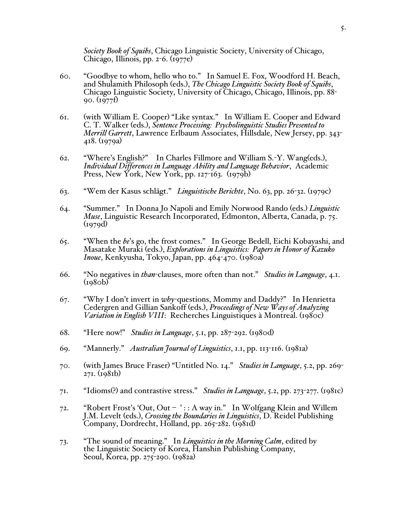*Society Book of Squibs*, Chicago Linguistic Society, University of Chicago, Chicago, Illinois, pp.  $2-6$ . (1977e)

- 60. "Goodbye to whom, hello who to." In Samuel E. Fox, Woodford H. Beach, and Shulamith Philosoph (eds.), *The Chicago Linguistic Society Book of Squibs*, Chicago Linguistic Society, University of Chicago, Chicago, Illinois, pp. 88- 90. (1977f)
- 61. (with William E. Cooper) "Like syntax." In William E. Cooper and Edward C. T. Walker (eds.), *Sentence Processing: Psycholinguistic Studies Presented to Merrill Garrett*, Lawrence Erlbaum Associates, Hillsdale, New Jersey, pp. 343- 418. (1979a)
- 62. "Where's English?" In Charles Fillmore and William S.-Y. Wang(eds.), *Individual Differences in Language Ability and Language Behavior*, Academic Press, New York, New York, pp.  $127 - 163$ . (1979b)
- 63. "Wem der Kasus schlägt." *Linguistische Berichte*, No. 63, pp. 26-32. (1979c)
- 64. "Summer." In Donna Jo Napoli and Emily Norwood Rando (eds.) *Linguistic Muse*, Linguistic Research Incorporated, Edmonton, Alberta, Canada, p. 75.  $(1979d)$
- 65. "When the *be*'s go, the frost comes." In George Bedell, Eichi Kobayashi, and Masatake Muraki (eds.), *Explorations in Linguistics: Papers in Honor of Kazuko Inoue*, Kenkyusha, Tokyo, Japan, pp. 464-470. (1980a)
- 66. "No negatives in *than*-clauses, more often than not." *Studies in Language*, 4.1.  $(1980b)$
- 67. "Why I don't invert in *why*-questions, Mommy and Daddy?" In Henrietta Cedergren and Gillian Sankoff (eds.), *Proceedings of New Ways of Analyzing Variation in English VIII*: Recherches Linguistiques à Montreal. (1980c)
- 68. "Here now!" *Studies in Language*, 5.1, pp. 287-292. (1980d)
- 69. "Mannerly." *Australian Journal of Linguistics*, 1.1, pp. 113-116. (1981a)
- 70. (with James Bruce Fraser) "Untitled No. 14." *Studies in Language*, 5.2, pp. 269- 271. (1981b)
- 71. "Idioms(?) and contrastive stress." *Studies in Language*, 5.2, pp. 273-277. (1981c)
- 72. "Robert Frost's 'Out, Out ' : : A way in." In Wolfgang Klein and Willem J.M. Levelt (eds.), *Crossing the Boundaries in Linguistics*, D. Reidel Publishing Company, Dordrecht, Holland, pp. 265-282. (1981d)
- 73. "The sound of meaning." In *Linguistics in the Morning Calm*, edited by the Linguistic Society of Korea, Hanshin Publishing Company, Seoul, Korea, pp. 275-290. (1982a)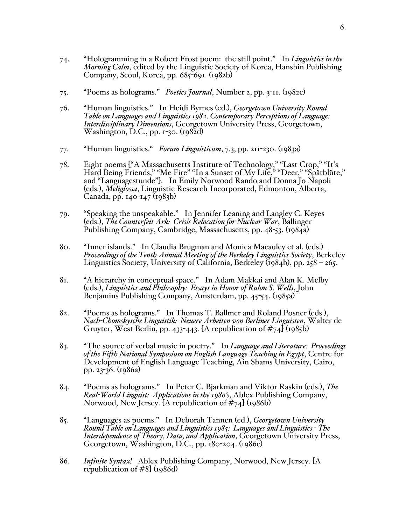- 74. "Hologramming in a Robert Frost poem: the still point." In *Linguistics in the Morning Calm*, edited by the Linguistic Society of Korea, Hanshin Publishing Company, Seoul, Korea, pp. 685-691. (1982b)
- 75. "Poems as holograms." *Poetics Journal*, Number 2, pp. 3-11. (1982c)
- 76. "Human linguistics." In Heidi Byrnes (ed.), *Georgetown University Round Table on Languages and Linguistics 1982. Contemporary Perceptions of Language: Interdisciplinary Dimensions*, Georgetown University Press, Georgetown, Washington, D.C., pp. 1-30. (1982d)
- 77. "Human linguistics." *Forum Linguisticum*, 7.3, pp. 211-230. (1983a)
- 78. Eight poems ["A Massachusetts Institute of Technology," "Last Crop," "It's Hard Being Friends," "Me Fire" "In a Sunset of My Life," "Deer," "Spätblüte," and "Languagestunde"]. In Emily Norwood Rando and Donna Jo Napoli (eds.), *Meliglossa*, Linguistic Research Incorporated, Edmonton, Alberta, Canada, pp. 140-147 (1983b)
- 79. "Speaking the unspeakable." In Jennifer Leaning and Langley C. Keyes (eds.), *The Counterfeit Ark: Crisis Relocation for Nuclear War*, Ballinger Publishing Company, Cambridge, Massachusetts, pp. 48-53. (1984a)
- 80. "Inner islands." In Claudia Brugman and Monica Macauley et al. (eds.) *Proceedings of the Tenth Annual Meeting of the Berkeley Linguistics Society*, Berkeley Linguistics Society, University of California, Berkeley (1984b), pp. 258 – 265.
- 81. "A hierarchy in conceptual space." In Adam Makkai and Alan K. Melby (eds.), *Linguistics and Philosophy: Essays in Honor of Rulon S. Wells*, John Benjamins Publishing Company, Amsterdam, pp. 45-54. (1985a)
- 82. "Poems as holograms." In Thomas T. Ballmer and Roland Posner (eds.), *Nach-Chomskysche Linguistik: Neuere Arbeiten von Berliner Linguisten*, Walter de Gruyter, West Berlin, pp. 433-443. [A republication of  $\#_{74}$ ] (1985b)
- 83. "The source of verbal music in poetry." In *Language and Literature: Proceedings of the Fifth National Symposium on English Language Teaching in Egypt*, Centre for Development of English Language Teaching, Ain Shams University, Cairo, pp. 23-36. (1986a)
- 84. "Poems as holograms." In Peter C. Bjarkman and Viktor Raskin (eds.), *The Real-World Linguist: Applications in the 1980's*, Ablex Publishing Company, Norwood, New Jersey. [A republication of #74] (1986b)
- 85. "Languages as poems." In Deborah Tannen (ed.), *Georgetown University Round Table on Languages and Linguistics 1985: Languages and Linguistics - The Interdependence of Theory, Data, and Application*, Georgetown University Press, Georgetown, Washington, D.C., pp. 180-204. (1986c)
- 86. *Infinite Syntax!* Ablex Publishing Company, Norwood, New Jersey. [A republication of #8] (1986d)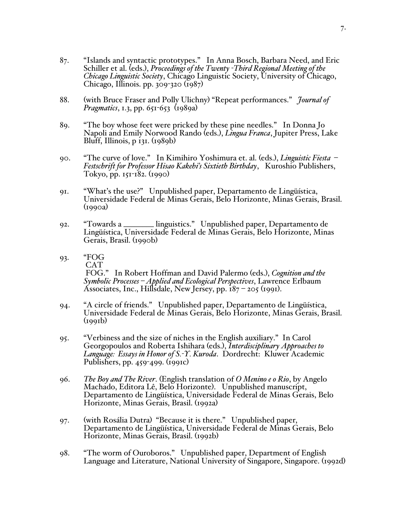- 87. "Islands and syntactic prototypes." In Anna Bosch, Barbara Need, and Eric Schiller et al. (eds.), *Proceedings of the Twenty -Third Regional Meeting of the Chicago Linguistic Society*, Chicago Linguistic Society, University of Chicago, Chicago, Illinois. pp. 309-320 (1987)
- 88. (with Bruce Fraser and Polly Ulichny) "Repeat performances." *Journal of Pragmatics*, 1.3, pp. 651-653 (1989a)
- 89. "The boy whose feet were pricked by these pine needles." In Donna Jo Napoli and Emily Norwood Rando (eds.), *Lingua Franca*, Jupiter Press, Lake Bluff, Illinois,  $p$  131.  $(1989b)$
- 90. "The curve of love." In Kimihiro Yoshimura et. al. (eds.), *Linguistic Fiesta – Festschrift for Professor Hisao Kakehi's Sixtieth Birthday*, Kuroshio Publishers, Tokyo, pp. 151-182. (1990)
- 91. "What's the use?" Unpublished paper, Departamento de Lingüística, Universidade Federal de Minas Gerais, Belo Horizonte, Minas Gerais, Brasil.  $(1990a)$
- 92. "Towards a \_\_\_\_\_\_\_\_ linguistics." Unpublished paper, Departamento de Lingüística, Universidade Federal de Minas Gerais, Belo Horizonte, Minas Gerais, Brasil. (1990b)
- 93. "FOG CAT<br>FOG." In Robert Hoffman and David Palermo (eds.), *Cognition and the* Symbolic Processes – Applied and Ecological Perspectives, Lawrence Erlbaum Associates, Inc., Hillsdale, New Jersey, pp.  $187 - 205$  (1991).
- 94. "A circle of friends." Unpublished paper, Departamento de Lingüística, Universidade Federal de Minas Gerais, Belo Horizonte, Minas Gerais, Brasil.  $(1991b)$
- 95. "Verbiness and the size of niches in the English auxiliary." In Carol Georgopoulos and Roberta Ishihara (eds.), *Interdisciplinary Approaches to Language: Essays in Honor of S.-Y. Kuroda*. Dordrecht: Kluwer Academic Publishers, pp. 459-499. (1991c)
- 96. *The Boy and The River*. (English translation of *O Menino e o Rio*, by Angelo Machado, Editora Lê, Belo Horizonte). Unpublished manuscript, Departamento de Lingüística, Universidade Federal de Minas Gerais, Belo Horizonte, Minas Gerais, Brasil. (1992a)
- 97. (with Rosália Dutra) "Because it is there." Unpublished paper, Departamento de Lingüística, Universidade Federal de Minas Gerais, Belo Horizonte, Minas Gerais, Brasil. (1992b)
- 98. "The worm of Ouroboros." Unpublished paper, Department of English Language and Literature, National University of Singapore, Singapore. (1992d)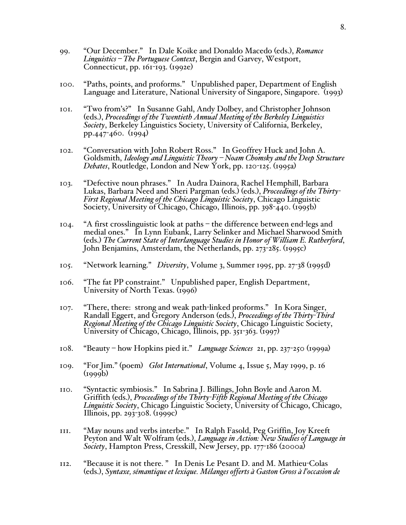- 99. "Our December." In Dale Koike and Donaldo Macedo (eds.), *Romance Linguistics – The Portuguese Context*, Bergin and Garvey, Westport, Connecticut, pp. 161-193. (1992e)
- 100. "Paths, points, and proforms." Unpublished paper, Department of English Language and Literature, National University of Singapore, Singapore. (1993)
- 101. "Two from's?" In Susanne Gahl, Andy Dolbey, and Christopher Johnson (eds.), *Proceedings of the Twentieth Annual Meeting of the Berkeley Linguistics Society*, Berkeley Linguistics Society, University of California, Berkeley, pp.447-460. (1994)
- 102. "Conversation with John Robert Ross." In Geoffrey Huck and John A. Goldsmith, *Ideology and Linguistic Theory – Noam Chomsky and the Deep Structure Debates*, Routledge, London and New York, pp. 120-125. (1995a)
- 103. "Defective noun phrases." In Audra Dainora, Rachel Hemphill, Barbara<br>Lukas, Barbara Need and Sheri Pargman (eds.) (eds.), *Proceedings of the Thirty*-First Regional Meeting of the Chicago Linguistic Society, Chicago Linguistic Society, University of Chicago, Chicago, Illinois, pp. 398-440. (1995b)
- 104. "A first crosslinguistic look at paths the difference between end-legs and medial ones." In Lynn Eubank, Larry Selinker and Michael Sharwood Smith (eds.) *The Current State of Interlanguage Studies in Honor of William E. Rutherford*, John Benjamins, Amsterdam, the Netherlands, pp. 273-285. (1995c)
- 105. "Network learning." *Diversity*, Volume 3, Summer 1995, pp. 27-38 (1995d)
- 106. "The fat PP constraint." Unpublished paper, English Department, University of North Texas. (1996)
- 107. "There, there: strong and weak path-linked proforms." In Kora Singer, Randall Eggert, and Gregory Anderson (eds.), *Proceedings of the Thirty-Third Regional Meeting of the Chicago Linguistic Society*, Chicago Linguistic Society, University of Chicago, Chicago, Illinois, pp. 351-363. (1997)
- 108. "Beauty how Hopkins pied it." *Language Sciences* 21, pp. 237-250 (1999a)
- 109. "For Jim." (poem) *Glot International*, Volume 4, Issue 5, May 1999, p. 16 (1999b)
- 110. "Syntactic symbiosis." In Sabrina J. Billings, John Boyle and Aaron M. Griffith (eds.), *Proceedings of the Thirty-Fifth Regional Meeting of the Chicago Linguistic Society*, Chicago Linguistic Society, University of Chicago, Chicago, Illinois, pp. 293-308. (1999c)
- 111. "May nouns and verbs interbe." In Ralph Fasold, Peg Griffin, Joy Kreeft Peyton and Walt Wolfram (eds.), *Language in Action: New Studies of Language in Society*, Hampton Press, Cresskill, New Jersey, pp. 177-186 (2000a)
- 112. "Because it is not there. " In Denis Le Pesant D. and M. Mathieu-Colas (eds.), *Syntaxe, sémantique et lexique. Mélanges offerts à Gaston Gross à l'occasion de*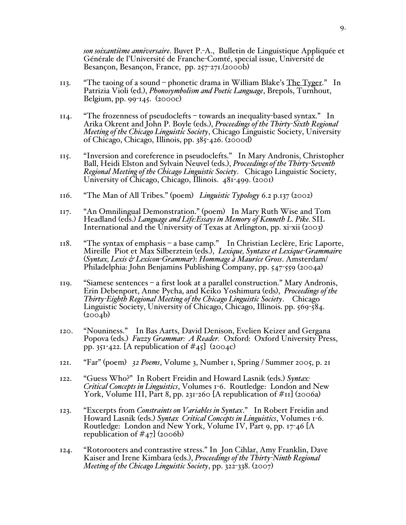*son soixantième anniversaire*. Buvet P.-A., Bulletin de Linguistique Appliquée et Générale de l'Université de Franche-Comté, special issue, Université de Besançon, Besançon, France, pp. 257-271.(2000b)

- 113. "The taoing of a sound phonetic drama in William Blake's The Tyger." In Patrizia Violi (ed.), *Phonosymbolism and Poetic Language*, Brepols, Turnhout, Belgium, pp. 99-145. (2000c)
- 114. "The frozenness of pseudoclefts towards an inequality-based syntax." In Arika Okrent and John P. Boyle (eds.), *Proceedings of the Thirty-Sixth Regional Meeting of the Chicago Linguistic Society*, Chicago Linguistic Society, University of Chicago, Chicago, Illinois, pp. 385-426. (2000d)
- 115. "Inversion and coreference in pseudoclefts." In Mary Andronis, Christopher Ball, Heidi Elston and Sylvain Neuvel (eds.), *Proceedings of the Thirty-Seventh Regional Meeting of the Chicago Linguistic Society*. Chicago Linguistic Society, University of Chicago, Chicago, Illinois. 481-499. (2001)
- 116. "The Man of All Tribes." (poem) *Linguistic Typology* 6.2 p.137 (2002)
- 117. "An Omnilingual Demonstration." (poem) In Mary Ruth Wise and Tom Headland (eds.) *Language and Life:Essays in Memory of Kenneth L. Pike.* SIL International and the University of Texas at Arlington, pp. xi-xii (2003)
- 118. "The syntax of emphasis a base camp." In Christian Leclère, Eric Laporte, Mireille Piot et Max Silberztein (eds.), *Lexique, Syntaxe et Lexique-Grammair*e (*Syntax, Lexis & Lexicon-Grammar*): *Hommage à Maurice Gross*. Amsterdam/ Philadelphia: John Benjamins Publishing Company, pp. 547-559 (2004a)
- 119. "Siamese sentences a first look at a parallel construction." Mary Andronis, Erin Debenport, Anne Pycha, and Keiko Yoshimura (eds), *Proceedings of the Thirty-Eighth Regional Meeting of the Chicago Linguistic Society*. Chicago Linguistic Society, University of Chicago, Chicago, Illinois. pp. 569-584.  $(2004b)$
- 120. "Nouniness." In Bas Aarts, David Denison, Evelien Keizer and Gergana Popova (eds.) *Fuzzy Grammar: A Reader.* Oxford: Oxford University Press, pp. 351-422. [A republication of  $\#$ 45] (2004c)
- 121. "Far" (poem) *32 Poems*, Volume 3, Number 1, Spring / Summer 2005, p. 21
- 122. "Guess Who?" In Robert Freidin and Howard Lasnik (eds.) *Syntax: Critical Concepts in Linguistics*, Volumes 1-6. Routledge: London and New York, Volume III, Part 8, pp. 231-260 [A republication of  $\#$ II] (2006a)
- 123. "Excerpts from *Constraints on Variables in Syntax*." In Robert Freidin and Howard Lasnik (eds.) *Syntax Critical Concepts in Linguistics*, Volumes 1-6. Routledge: London and New York, Volume IV, Part 9, pp. 17-46 [A republication of  $\#$ 47] (2006b)
- 124. "Rotorooters and contrastive stress." In Jon Cihlar, Amy Franklin, Dave<br>Kaiser and Irene Kimbara (eds.), *Proceedings of the Thirty-Ninth Regional*<br>*Meeting of the Chicago Linguistic Society*, pp. 322-338. (2007)